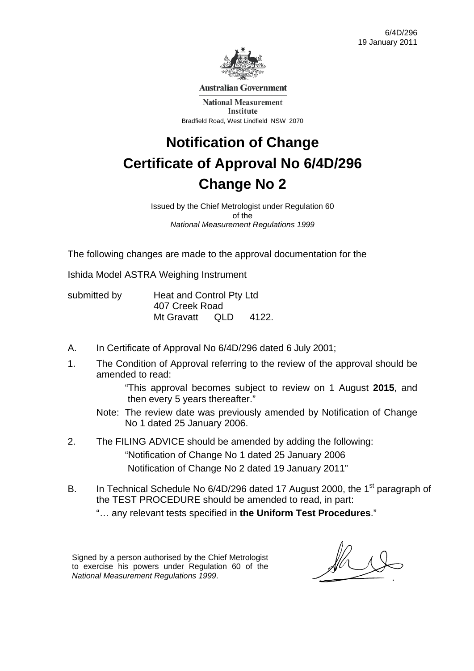

**Australian Government** 

**National Measurement** Institute Bradfield Road, West Lindfield NSW 2070

## **Notification of Change Certificate of Approval No 6/4D/296 Change No 2**

Issued by the Chief Metrologist under Regulation 60 of the *National Measurement Regulations 1999* 

The following changes are made to the approval documentation for the

Ishida Model ASTRA Weighing Instrument

submitted by **Heat and Control Pty Ltd** 407 Creek Road Mt Gravatt QLD 4122.

- A. In Certificate of Approval No 6/4D/296 dated 6 July 2001;
- 1. The Condition of Approval referring to the review of the approval should be amended to read:

 "This approval becomes subject to review on 1 August **2015**, and then every 5 years thereafter."

- Note: The review date was previously amended by Notification of Change No 1 dated 25 January 2006.
- 2. The FILING ADVICE should be amended by adding the following: "Notification of Change No 1 dated 25 January 2006 Notification of Change No 2 dated 19 January 2011"
- B. In Technical Schedule No 6/4D/296 dated 17 August 2000, the 1<sup>st</sup> paragraph of the TEST PROCEDURE should be amended to read, in part:

"… any relevant tests specified in **the Uniform Test Procedures**."

Signed by a person authorised by the Chief Metrologist to exercise his powers under Regulation 60 of the *National Measurement Regulations 1999*.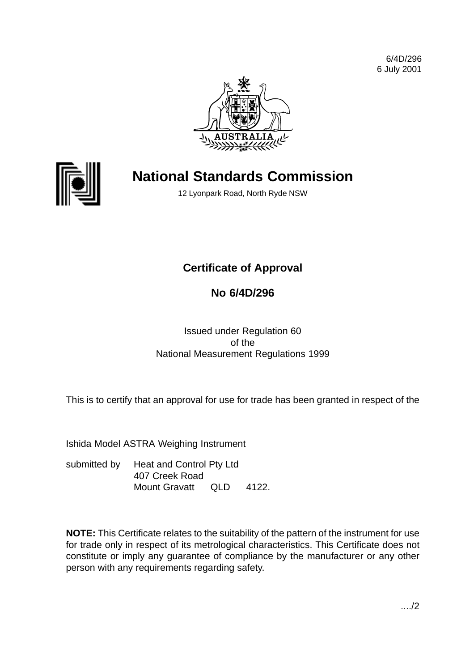6/4D/296 6 July 2001





## **National Standards Commission**

12 Lyonpark Road, North Ryde NSW

## **Certificate of Approval**

## **No 6/4D/296**

Issued under Regulation 60 of the National Measurement Regulations 1999

This is to certify that an approval for use for trade has been granted in respect of the

Ishida Model ASTRA Weighing Instrument

submitted by Heat and Control Pty Ltd 407 Creek Road Mount Gravatt QLD 4122.

**NOTE:** This Certificate relates to the suitability of the pattern of the instrument for use for trade only in respect of its metrological characteristics. This Certificate does not constitute or imply any guarantee of compliance by the manufacturer or any other person with any requirements regarding safety.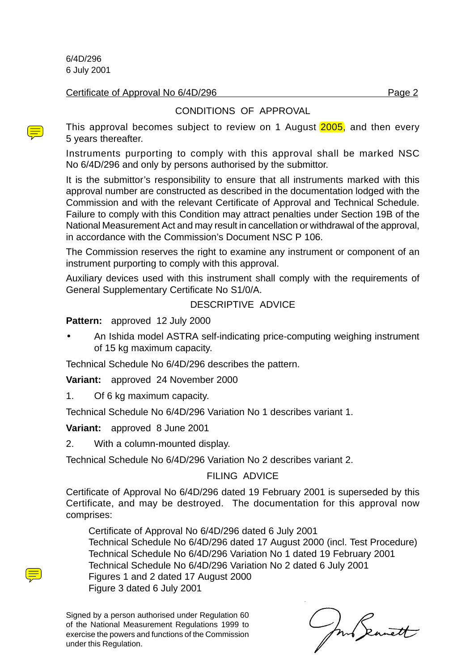6/4D/296 6 July 2001

#### Certificate of Approval No 6/4D/296 Page 2

#### CONDITIONS OF APPROVAL

This approval becomes subject to review on 1 August 2005, and then every 5 years thereafter.

Instruments purporting to comply with this approval shall be marked NSC No 6/4D/296 and only by persons authorised by the submittor.

It is the submittor's responsibility to ensure that all instruments marked with this approval number are constructed as described in the documentation lodged with the Commission and with the relevant Certificate of Approval and Technical Schedule. Failure to comply with this Condition may attract penalties under Section 19B of the National Measurement Act and may result in cancellation or withdrawal of the approval, in accordance with the Commission's Document NSC P 106.

The Commission reserves the right to examine any instrument or component of an instrument purporting to comply with this approval.

Auxiliary devices used with this instrument shall comply with the requirements of General Supplementary Certificate No S1/0/A.

#### DESCRIPTIVE ADVICE

**Pattern:** approved 12 July 2000

• An Ishida model ASTRA self-indicating price-computing weighing instrument of 15 kg maximum capacity.

Technical Schedule No 6/4D/296 describes the pattern.

**Variant:** approved 24 November 2000

1. Of 6 kg maximum capacity.

Technical Schedule No 6/4D/296 Variation No 1 describes variant 1.

**Variant:** approved 8 June 2001

2. With a column-mounted display.

Technical Schedule No 6/4D/296 Variation No 2 describes variant 2.

FILING ADVICE

Certificate of Approval No 6/4D/296 dated 19 February 2001 is superseded by this Certificate, and may be destroyed. The documentation for this approval now comprises:

Certificate of Approval No 6/4D/296 dated 6 July 2001 Technical Schedule No 6/4D/296 dated 17 August 2000 (incl. Test Procedure) Technical Schedule No 6/4D/296 Variation No 1 dated 19 February 2001 Technical Schedule No 6/4D/296 Variation No 2 dated 6 July 2001 Figures 1 and 2 dated 17 August 2000 Figure 3 dated 6 July 2001

In Seanett

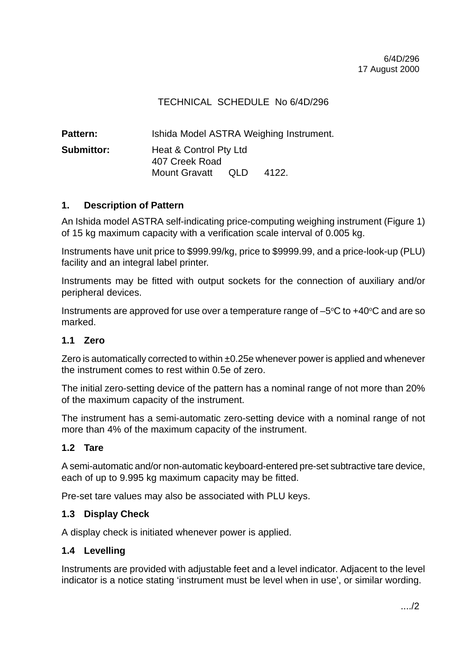#### TECHNICAL SCHEDULE No 6/4D/296

| <b>Pattern:</b>   | Ishida Model ASTRA Weighing Instrument.  |      |       |  |
|-------------------|------------------------------------------|------|-------|--|
| <b>Submittor:</b> | Heat & Control Pty Ltd<br>407 Creek Road |      |       |  |
|                   | <b>Mount Gravatt</b>                     | OLD. | 4122. |  |

#### **1. Description of Pattern**

An Ishida model ASTRA self-indicating price-computing weighing instrument (Figure 1) of 15 kg maximum capacity with a verification scale interval of 0.005 kg.

Instruments have unit price to \$999.99/kg, price to \$9999.99, and a price-look-up (PLU) facility and an integral label printer.

Instruments may be fitted with output sockets for the connection of auxiliary and/or peripheral devices.

Instruments are approved for use over a temperature range of  $-5^{\circ}$ C to  $+40^{\circ}$ C and are so marked.

#### **1.1 Zero**

Zero is automatically corrected to within  $\pm 0.25e$  whenever power is applied and whenever the instrument comes to rest within 0.5e of zero.

The initial zero-setting device of the pattern has a nominal range of not more than 20% of the maximum capacity of the instrument.

The instrument has a semi-automatic zero-setting device with a nominal range of not more than 4% of the maximum capacity of the instrument.

#### **1.2 Tare**

A semi-automatic and/or non-automatic keyboard-entered pre-set subtractive tare device, each of up to 9.995 kg maximum capacity may be fitted.

Pre-set tare values may also be associated with PLU keys.

#### **1.3 Display Check**

A display check is initiated whenever power is applied.

#### **1.4 Levelling**

Instruments are provided with adjustable feet and a level indicator. Adjacent to the level indicator is a notice stating 'instrument must be level when in use', or similar wording.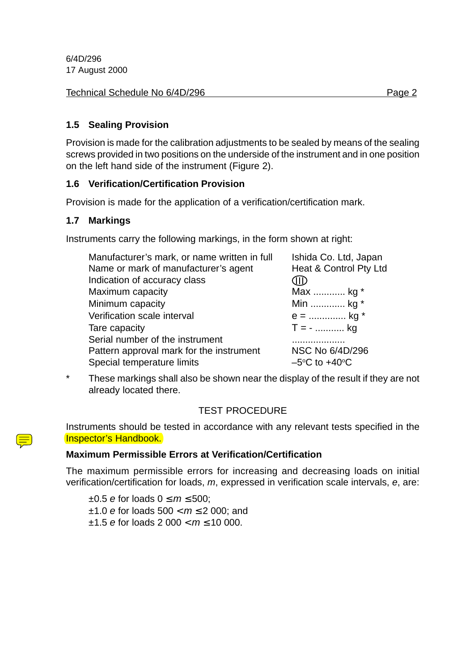6/4D/296 17 August 2000

| Technical Schedule No 6/4D/296 | Page 2 |
|--------------------------------|--------|
|--------------------------------|--------|

#### **1.5 Sealing Provision**

Provision is made for the calibration adjustments to be sealed by means of the sealing screws provided in two positions on the underside of the instrument and in one position on the left hand side of the instrument (Figure 2).

#### **1.6 Verification/Certification Provision**

Provision is made for the application of a verification/certification mark.

#### **1.7 Markings**

Instruments carry the following markings, in the form shown at right:

| Manufacturer's mark, or name written in full | Ishida Co. Ltd, Japan  |
|----------------------------------------------|------------------------|
| Name or mark of manufacturer's agent         | Heat & Control Pty Ltd |
| Indication of accuracy class                 | JĪD                    |
| Maximum capacity                             | Max  kg *              |
| Minimum capacity                             | Min  kg *              |
| Verification scale interval                  | $e =$ kg *             |
| Tare capacity                                | $T = -$ kg             |
| Serial number of the instrument              |                        |
| Pattern approval mark for the instrument     | NSC No 6/4D/296        |
| Special temperature limits                   | $-5$ °C to +40°C       |

\* These markings shall also be shown near the display of the result if they are not already located there.

#### TEST PROCEDURE

Instruments should be tested in accordance with any relevant tests specified in the Inspector's Handbook.

#### **Maximum Permissible Errors at Verification/Certification**

The maximum permissible errors for increasing and decreasing loads on initial verification/certification for loads, m, expressed in verification scale intervals, e, are:

 $\pm 0.5$  e for loads  $0 \le m \le 500$ :  $±1.0$  e for loads  $500 < m < 2000$ ; and  $\pm 1.5$  e for loads 2 000  $< m \le 10$  000.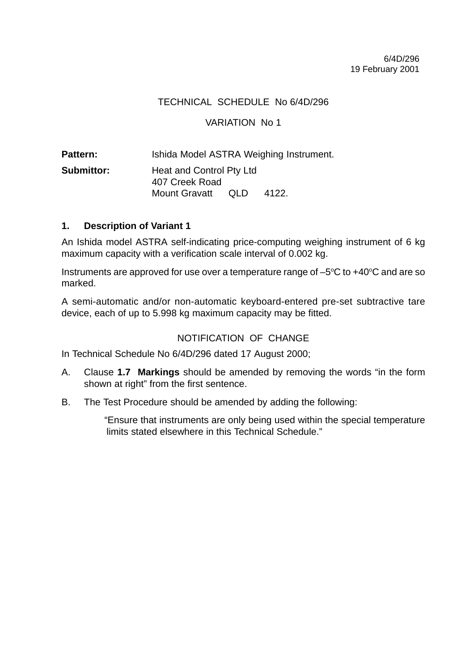#### TECHNICAL SCHEDULE No 6/4D/296

#### VARIATION No 1

Pattern: **Ishida Model ASTRA Weighing Instrument. Submittor:** Heat and Control Pty Ltd 407 Creek Road Mount Gravatt QLD 4122.

#### **1. Description of Variant 1**

An Ishida model ASTRA self-indicating price-computing weighing instrument of 6 kg maximum capacity with a verification scale interval of 0.002 kg.

Instruments are approved for use over a temperature range of  $-5^{\circ}$ C to  $+40^{\circ}$ C and are so marked.

A semi-automatic and/or non-automatic keyboard-entered pre-set subtractive tare device, each of up to 5.998 kg maximum capacity may be fitted.

#### NOTIFICATION OF CHANGE

In Technical Schedule No 6/4D/296 dated 17 August 2000;

- A. Clause **1.7 Markings** should be amended by removing the words "in the form shown at right" from the first sentence.
- B. The Test Procedure should be amended by adding the following:

"Ensure that instruments are only being used within the special temperature limits stated elsewhere in this Technical Schedule."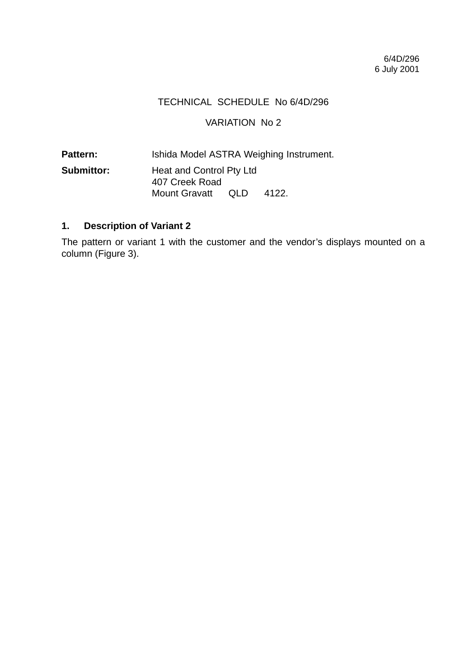#### TECHNICAL SCHEDULE No 6/4D/296

#### VARIATION No 2

Pattern: **Ishida Model ASTRA Weighing Instrument. Submittor:** Heat and Control Pty Ltd 407 Creek Road Mount Gravatt QLD 4122.

#### **1. Description of Variant 2**

The pattern or variant 1 with the customer and the vendor's displays mounted on a column (Figure 3).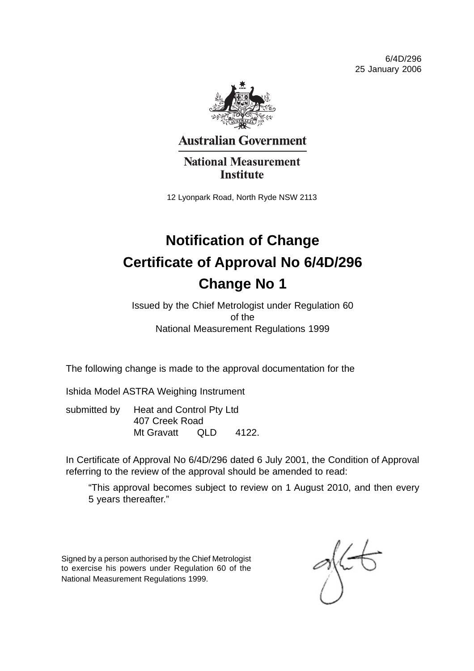6/4D/296 25 January 2006



**Australian Government** 

**National Measurement Institute** 

12 Lyonpark Road, North Ryde NSW 2113

# **Notification of Change Certificate of Approval No 6/4D/296 Change No 1**

Issued by the Chief Metrologist under Regulation 60 of the National Measurement Regulations 1999

The following change is made to the approval documentation for the

Ishida Model ASTRA Weighing Instrument

submitted by Heat and Control Pty Ltd 407 Creek Road Mt Gravatt QLD 4122.

In Certificate of Approval No 6/4D/296 dated 6 July 2001, the Condition of Approval referring to the review of the approval should be amended to read:

"This approval becomes subject to review on 1 August 2010, and then every 5 years thereafter."

Signed by a person authorised by the Chief Metrologist to exercise his powers under Regulation 60 of the National Measurement Regulations 1999.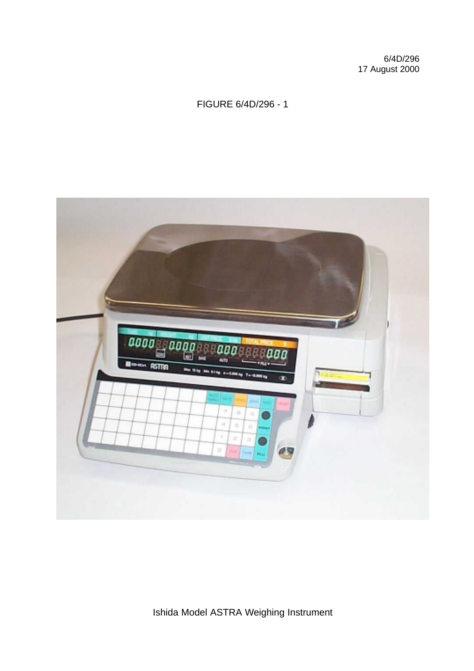6/4D/296 17 August 2000

### FIGURE 6/4D/296 - 1

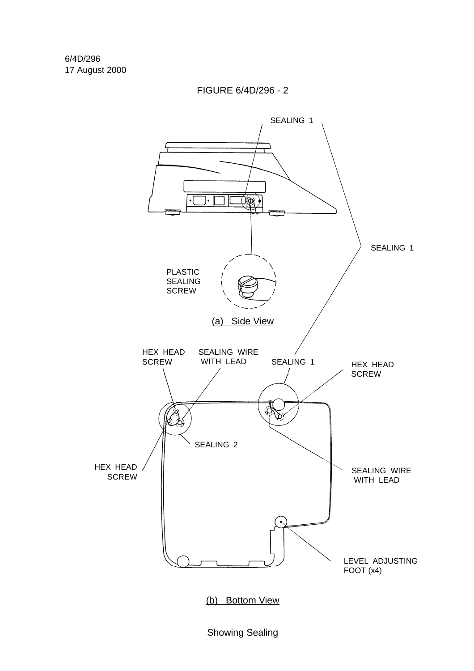FIGURE 6/4D/296 - 2



Showing Sealing